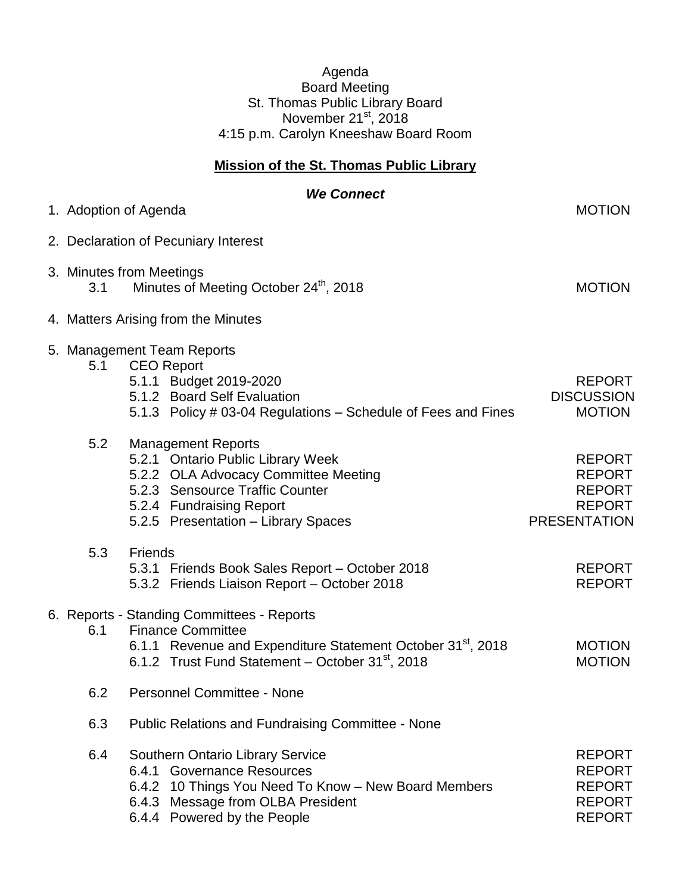## Agenda Board Meeting St. Thomas Public Library Board November 21<sup>st</sup>, 2018 4:15 p.m. Carolyn Kneeshaw Board Room

## **Mission of the St. Thomas Public Library**

|     | <b>We Connect</b>                                                                                                                                                                                                 |                                                                                         |
|-----|-------------------------------------------------------------------------------------------------------------------------------------------------------------------------------------------------------------------|-----------------------------------------------------------------------------------------|
|     | 1. Adoption of Agenda                                                                                                                                                                                             | <b>MOTION</b>                                                                           |
|     | 2. Declaration of Pecuniary Interest                                                                                                                                                                              |                                                                                         |
| 3.1 | 3. Minutes from Meetings<br>Minutes of Meeting October 24th, 2018                                                                                                                                                 | <b>MOTION</b>                                                                           |
|     | 4. Matters Arising from the Minutes                                                                                                                                                                               |                                                                                         |
| 5.1 | 5. Management Team Reports<br><b>CEO Report</b><br>5.1.1 Budget 2019-2020<br>5.1.2 Board Self Evaluation<br>5.1.3 Policy # 03-04 Regulations – Schedule of Fees and Fines                                         | <b>REPORT</b><br><b>DISCUSSION</b><br><b>MOTION</b>                                     |
| 5.2 | <b>Management Reports</b><br>5.2.1 Ontario Public Library Week<br>5.2.2 OLA Advocacy Committee Meeting<br>5.2.3 Sensource Traffic Counter<br>5.2.4 Fundraising Report<br>5.2.5 Presentation - Library Spaces      | <b>REPORT</b><br><b>REPORT</b><br><b>REPORT</b><br><b>REPORT</b><br><b>PRESENTATION</b> |
| 5.3 | <b>Friends</b><br>5.3.1 Friends Book Sales Report - October 2018<br>5.3.2 Friends Liaison Report - October 2018                                                                                                   | <b>REPORT</b><br><b>REPORT</b>                                                          |
| 6.1 | 6. Reports - Standing Committees - Reports<br><b>Finance Committee</b><br>6.1.1 Revenue and Expenditure Statement October 31 <sup>st</sup> , 2018<br>6.1.2 Trust Fund Statement - October 31 <sup>st</sup> , 2018 | <b>MOTION</b><br><b>MOTION</b>                                                          |
| 6.2 | <b>Personnel Committee - None</b>                                                                                                                                                                                 |                                                                                         |
| 6.3 | <b>Public Relations and Fundraising Committee - None</b>                                                                                                                                                          |                                                                                         |
| 6.4 | <b>Southern Ontario Library Service</b><br>6.4.1 Governance Resources<br>6.4.2 10 Things You Need To Know - New Board Members<br>6.4.3 Message from OLBA President<br>6.4.4 Powered by the People                 | <b>REPORT</b><br><b>REPORT</b><br><b>REPORT</b><br><b>REPORT</b><br><b>REPORT</b>       |